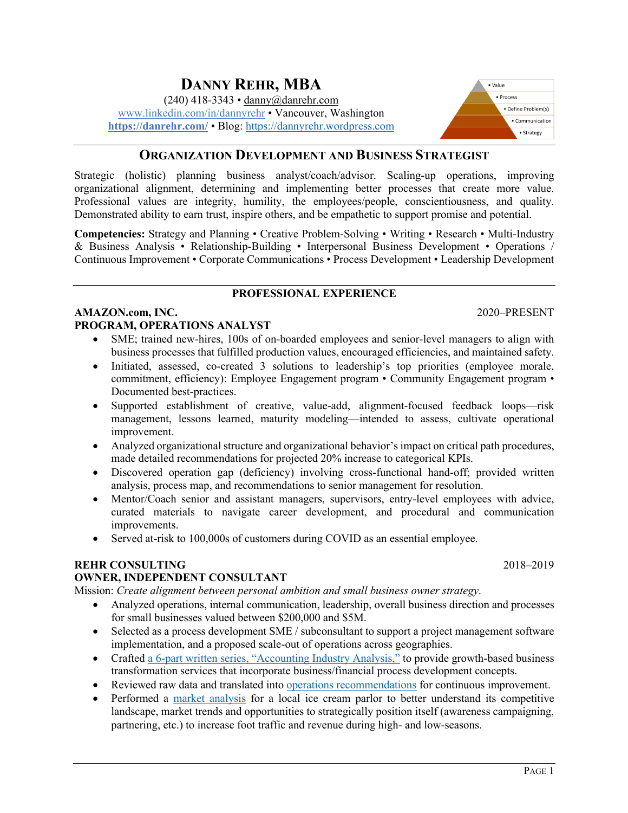### www.linkedin.com/in/dannyrehr • Vancouver, Washington **https://danrehr.com/** • Blog: https://dannyrehr.wordpress.com

**DANNY REHR, MBA** (240) 418-3343 • danny@danrehr.com

## **ORGANIZATION DEVELOPMENT AND BUSINESS STRATEGIST**

Strategic (holistic) planning business analyst/coach/advisor. Scaling-up operations, improving organizational alignment, determining and implementing better processes that create more value. Professional values are integrity, humility, the employees/people, conscientiousness, and quality. Demonstrated ability to earn trust, inspire others, and be empathetic to support promise and potential.

**Competencies:** Strategy and Planning • Creative Problem-Solving • Writing • Research • Multi-Industry & Business Analysis • Relationship-Building • Interpersonal Business Development • Operations / Continuous Improvement • Corporate Communications • Process Development • Leadership Development

### **PROFESSIONAL EXPERIENCE**

## **AMAZON.com, INC.** 2020–PRESENT **PROGRAM, OPERATIONS ANALYST**

- SME; trained new-hires, 100s of on-boarded employees and senior-level managers to align with business processes that fulfilled production values, encouraged efficiencies, and maintained safety.
- Initiated, assessed, co-created 3 solutions to leadership's top priorities (employee morale, commitment, efficiency): Employee Engagement program • Community Engagement program • Documented best-practices.
- Supported establishment of creative, value-add, alignment-focused feedback loops—risk management, lessons learned, maturity modeling—intended to assess, cultivate operational improvement.
- Analyzed organizational structure and organizational behavior's impact on critical path procedures, made detailed recommendations for projected 20% increase to categorical KPIs.
- Discovered operation gap (deficiency) involving cross-functional hand-off; provided written analysis, process map, and recommendations to senior management for resolution.
- Mentor/Coach senior and assistant managers, supervisors, entry-level employees with advice, curated materials to navigate career development, and procedural and communication improvements.
- Served at-risk to 100,000s of customers during COVID as an essential employee.

## **REHR CONSULTING** 2018–2019

### **OWNER, INDEPENDENT CONSULTANT**

Mission: *Create alignment between personal ambition and small business owner strategy*.

- Analyzed operations, internal communication, leadership, overall business direction and processes for small businesses valued between \$200,000 and \$5M.
- Selected as a process development SME / subconsultant to support a project management software implementation, and a proposed scale-out of operations across geographies.
- Crafted a 6-part written series, "Accounting Industry Analysis," to provide growth-based business transformation services that incorporate business/financial process development concepts.
- Reviewed raw data and translated into operations recommendations for continuous improvement.
- Performed a market analysis for a local ice cream parlor to better understand its competitive landscape, market trends and opportunities to strategically position itself (awareness campaigning, partnering, etc.) to increase foot traffic and revenue during high- and low-seasons.

#### · Value  $P$ rncess · Define Problem(s) · Communication · Strategy